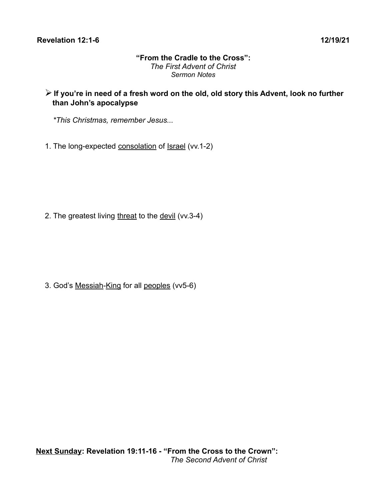## **"From the Cradle to the Cross":** *The First Advent of Christ Sermon Notes*

- ➢ **If you're in need of a fresh word on the old, old story this Advent, look no further than John's apocalypse**
	- *\*This Christmas, remember Jesus...*
- 1. The long-expected consolation of Israel (vv.1-2)

2. The greatest living threat to the devil (vv.3-4)

3. God's Messiah-King for all peoples (vv5-6)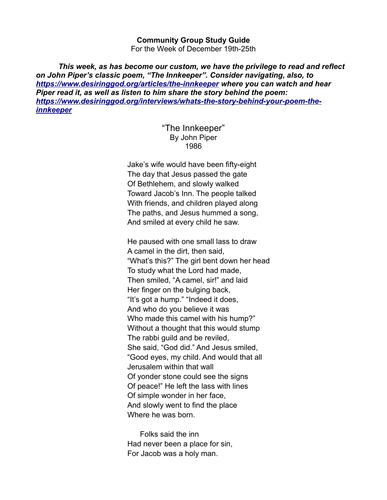## **Community Group Study Guide**

For the Week of December 19th-25th

*This week, as has become our custom, we have the privilege to read and reflect on John Piper's classic poem, "The Innkeeper". Consider navigating, also, to <https://www.desiringgod.org/articles/the-innkeeper>where you can watch and hear Piper read it, as well as listen to him share the story behind the poem: [https://www.desiringgod.org/interviews/whats-the-story-behind-your-poem-the](https://www.desiringgod.org/interviews/whats-the-story-behind-your-poem-the-innkeeper)[innkeeper](https://www.desiringgod.org/interviews/whats-the-story-behind-your-poem-the-innkeeper)*

## "The Innkeeper" By John Piper 1986

Jake's wife would have been fifty-eight The day that Jesus passed the gate Of Bethlehem, and slowly walked Toward Jacob's Inn. The people talked With friends, and children played along The paths, and Jesus hummed a song, And smiled at every child he saw.

He paused with one small lass to draw A camel in the dirt, then said, "What's this?" The girl bent down her head To study what the Lord had made, Then smiled, "A camel, sir!" and laid Her finger on the bulging back, "It's got a hump." "Indeed it does, And who do you believe it was Who made this camel with his hump?" Without a thought that this would stump The rabbi guild and be reviled, She said, "God did." And Jesus smiled, "Good eyes, my child. And would that all Jerusalem within that wall Of yonder stone could see the signs Of peace!" He left the lass with lines Of simple wonder in her face, And slowly went to find the place Where he was born.

 Folks said the inn Had never been a place for sin, For Jacob was a holy man.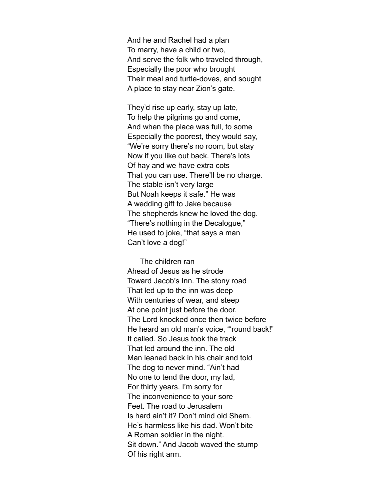And he and Rachel had a plan To marry, have a child or two, And serve the folk who traveled through, Especially the poor who brought Their meal and turtle-doves, and sought A place to stay near Zion's gate.

They'd rise up early, stay up late, To help the pilgrims go and come, And when the place was full, to some Especially the poorest, they would say, "We're sorry there's no room, but stay Now if you like out back. There's lots Of hay and we have extra cots That you can use. There'll be no charge. The stable isn't very large But Noah keeps it safe." He was A wedding gift to Jake because The shepherds knew he loved the dog. "There's nothing in the Decalogue," He used to joke, "that says a man Can't love a dog!"

 The children ran Ahead of Jesus as he strode Toward Jacob's Inn. The stony road That led up to the inn was deep With centuries of wear, and steep At one point just before the door. The Lord knocked once then twice before He heard an old man's voice, "'round back!" It called. So Jesus took the track That led around the inn. The old Man leaned back in his chair and told The dog to never mind. "Ain't had No one to tend the door, my lad, For thirty years. I'm sorry for The inconvenience to your sore Feet. The road to Jerusalem Is hard ain't it? Don't mind old Shem. He's harmless like his dad. Won't bite A Roman soldier in the night. Sit down." And Jacob waved the stump Of his right arm.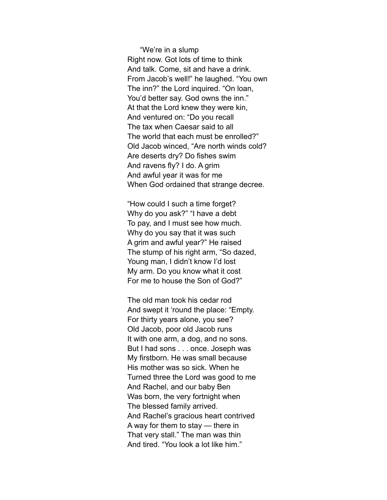"We're in a slump Right now. Got lots of time to think And talk. Come, sit and have a drink. From Jacob's well!" he laughed. "You own The inn?" the Lord inquired. "On loan, You'd better say. God owns the inn." At that the Lord knew they were kin, And ventured on: "Do you recall The tax when Caesar said to all The world that each must be enrolled?" Old Jacob winced, "Are north winds cold? Are deserts dry? Do fishes swim And ravens fly? I do. A grim And awful year it was for me When God ordained that strange decree.

"How could I such a time forget? Why do you ask?" "I have a debt To pay, and I must see how much. Why do you say that it was such A grim and awful year?" He raised The stump of his right arm, "So dazed, Young man, I didn't know I'd lost My arm. Do you know what it cost For me to house the Son of God?"

The old man took his cedar rod And swept it 'round the place: "Empty. For thirty years alone, you see? Old Jacob, poor old Jacob runs It with one arm, a dog, and no sons. But I had sons . . . once. Joseph was My firstborn. He was small because His mother was so sick. When he Turned three the Lord was good to me And Rachel, and our baby Ben Was born, the very fortnight when The blessed family arrived. And Rachel's gracious heart contrived A way for them to stay — there in That very stall." The man was thin And tired. "You look a lot like him."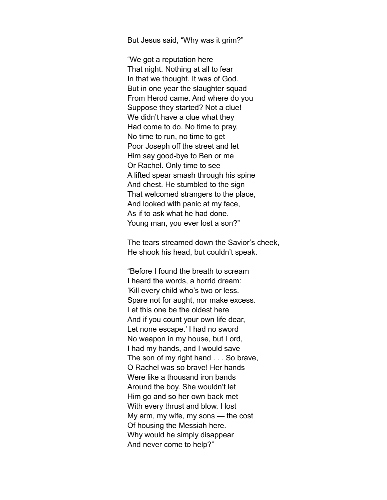But Jesus said, "Why was it grim?"

"We got a reputation here That night. Nothing at all to fear In that we thought. It was of God. But in one year the slaughter squad From Herod came. And where do you Suppose they started? Not a clue! We didn't have a clue what they Had come to do. No time to pray, No time to run, no time to get Poor Joseph off the street and let Him say good-bye to Ben or me Or Rachel. Only time to see A lifted spear smash through his spine And chest. He stumbled to the sign That welcomed strangers to the place, And looked with panic at my face, As if to ask what he had done. Young man, you ever lost a son?"

The tears streamed down the Savior's cheek, He shook his head, but couldn't speak.

"Before I found the breath to scream I heard the words, a horrid dream: 'Kill every child who's two or less. Spare not for aught, nor make excess. Let this one be the oldest here And if you count your own life dear, Let none escape.' I had no sword No weapon in my house, but Lord, I had my hands, and I would save The son of my right hand . . . So brave, O Rachel was so brave! Her hands Were like a thousand iron bands Around the boy. She wouldn't let Him go and so her own back met With every thrust and blow. I lost My arm, my wife, my sons — the cost Of housing the Messiah here. Why would he simply disappear And never come to help?"